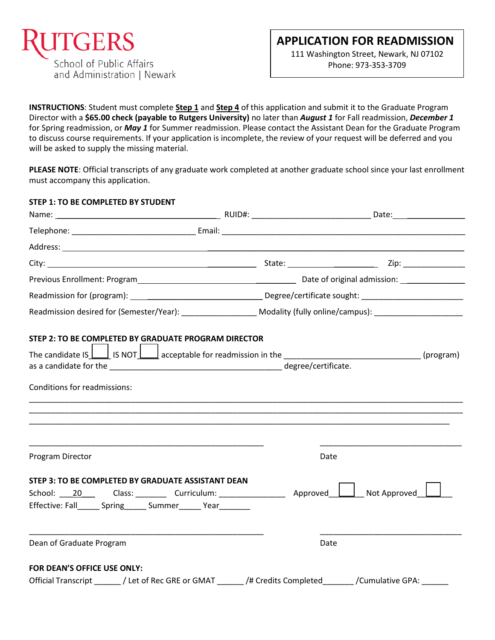

111 Washington Street, Newark, NJ 07102 Phone: 973-353-3709

**INSTRUCTIONS**: Student must complete **Step 1** and **Step 4** of this application and submit it to the Graduate Program Director with a **\$65.00 check (payable to Rutgers University)** no later than *August 1* for Fall readmission, *December 1*  for Spring readmission, or *May 1* for Summer readmission. Please contact the Assistant Dean for the Graduate Program to discuss course requirements. If your application is incomplete, the review of your request will be deferred and you will be asked to supply the missing material.

**PLEASE NOTE**: Official transcripts of any graduate work completed at another graduate school since your last enrollment must accompany this application.

## **STEP 1: TO BE COMPLETED BY STUDENT**

| STEP 2: TO BE COMPLETED BY GRADUATE PROGRAM DIRECTOR<br>The candidate IS $\bigsqcup$ IS NOT $\bigsqcup$ acceptable for readmission in the ________________________________(program)<br>Conditions for readmissions: |                                                                                  |      |  |  |
|---------------------------------------------------------------------------------------------------------------------------------------------------------------------------------------------------------------------|----------------------------------------------------------------------------------|------|--|--|
| Program Director                                                                                                                                                                                                    | ,我们也不能会在这里,我们的人们就会在这里,我们也不能会在这里,我们也不能会在这里,我们也不能会在这里,我们也不能会在这里,我们也不能会不能会不能会。""我们, | Date |  |  |
| STEP 3: TO BE COMPLETED BY GRADUATE ASSISTANT DEAN                                                                                                                                                                  |                                                                                  |      |  |  |
| Effective: Fall Spring Summer Year                                                                                                                                                                                  |                                                                                  |      |  |  |
| Dean of Graduate Program                                                                                                                                                                                            |                                                                                  | Date |  |  |
| FOR DEAN'S OFFICE USE ONLY:                                                                                                                                                                                         |                                                                                  |      |  |  |
| Official Transcript _______ / Let of Rec GRE or GMAT _______ /# Credits Completed _______ /Cumulative GPA: ______                                                                                                   |                                                                                  |      |  |  |